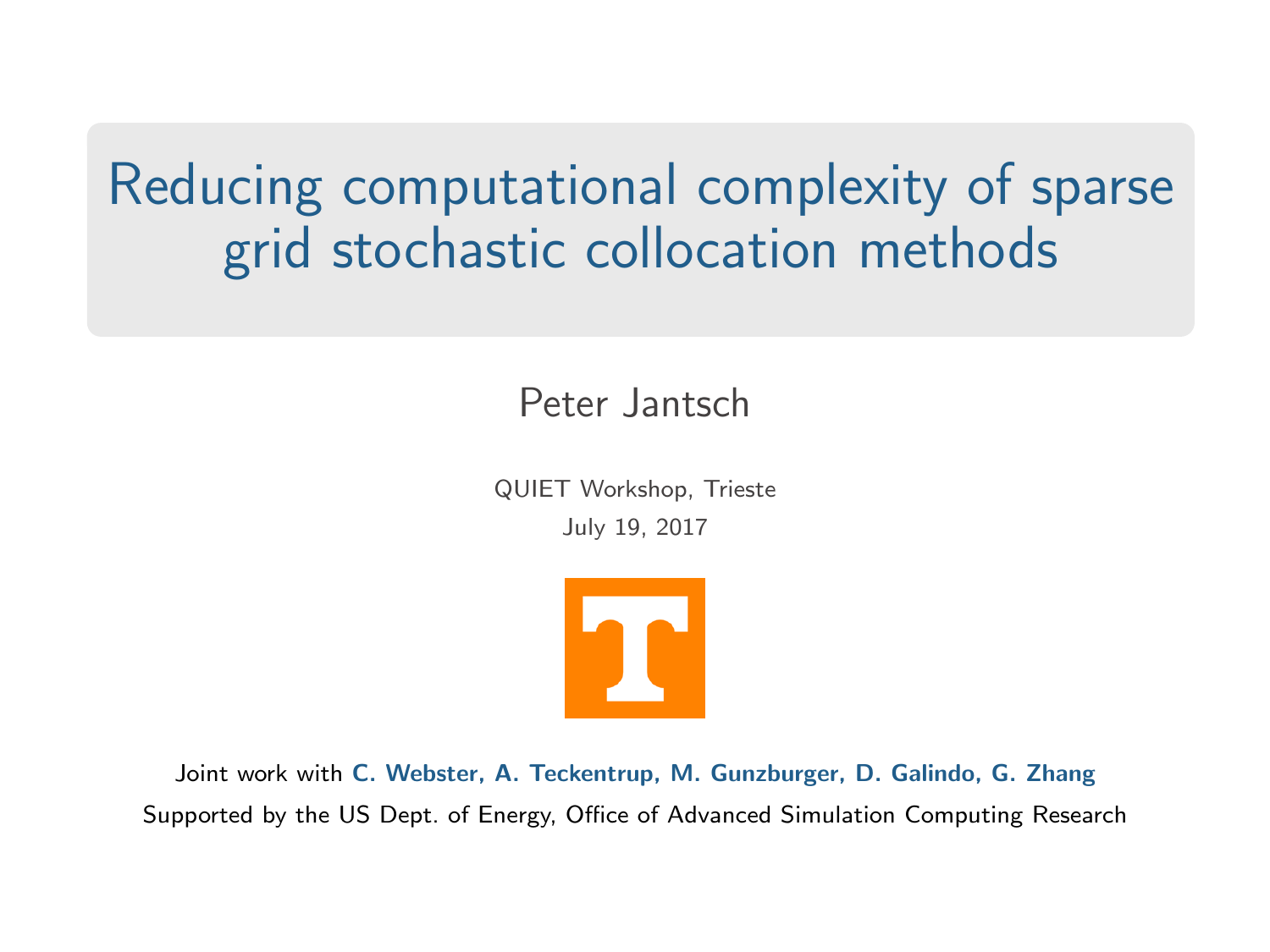# Reducing computational complexity of sparse grid stochastic collocation methods

Peter Jantsch

QUIET Workshop, Trieste July 19, 2017



Joint work with C. Webster, A. Teckentrup, M. Gunzburger, D. Galindo, G. Zhang Supported by the US Dept. of Energy, Office of Advanced Simulation Computing Research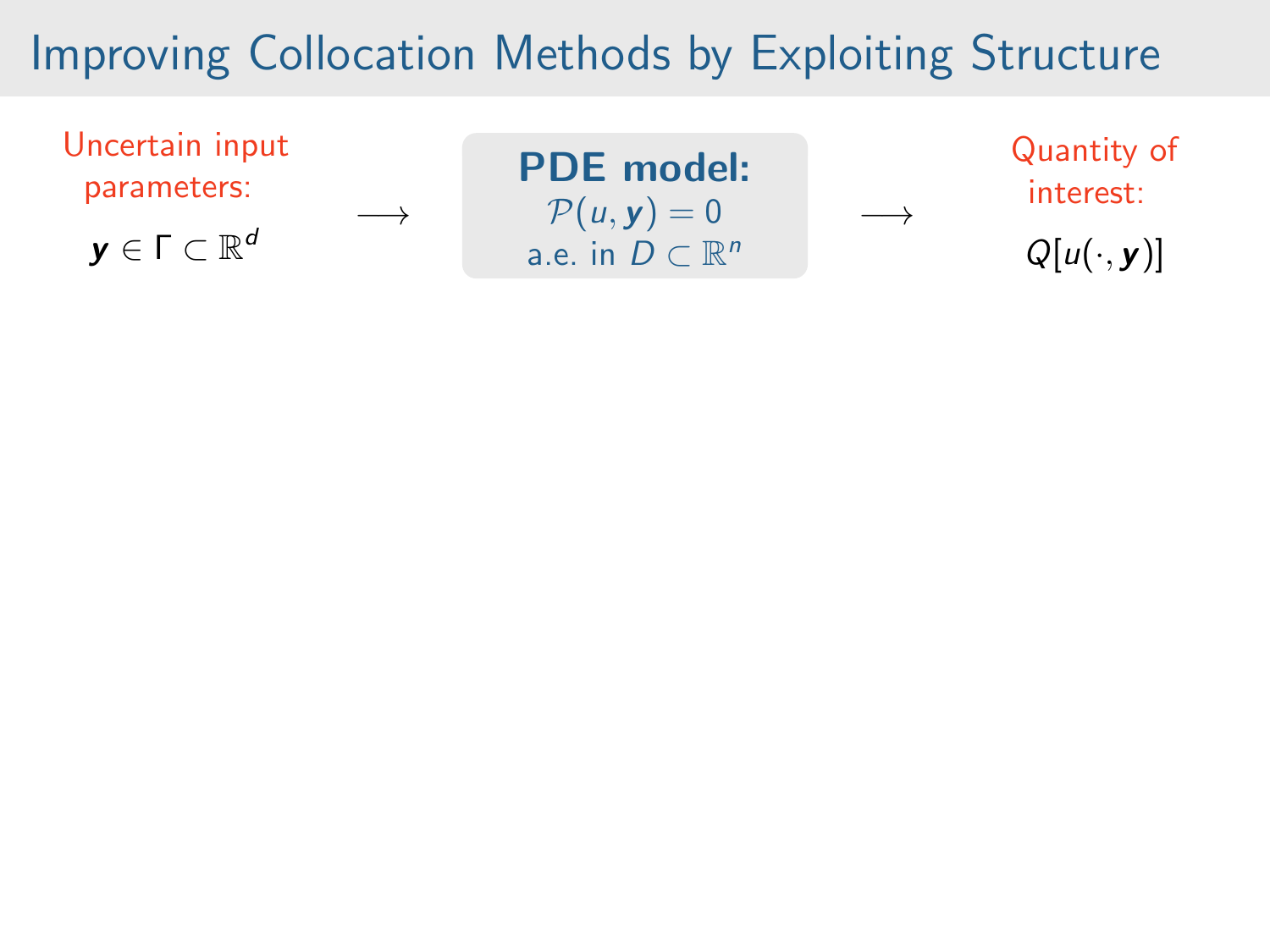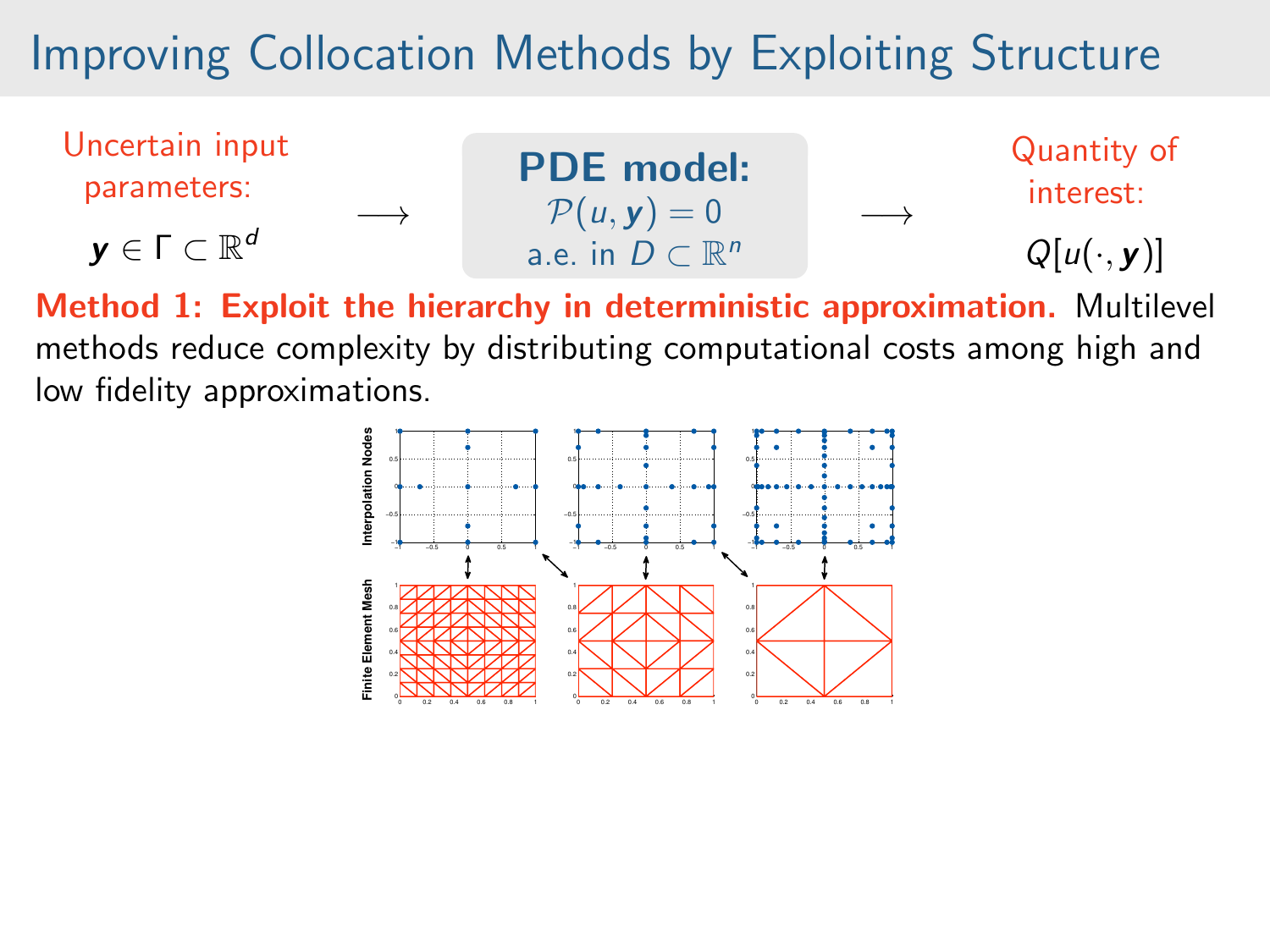

Method 1: Exploit the hierarchy in deterministic approximation. Multilevel methods reduce complexity by distributing computational costs among high and low fidelity approximations.

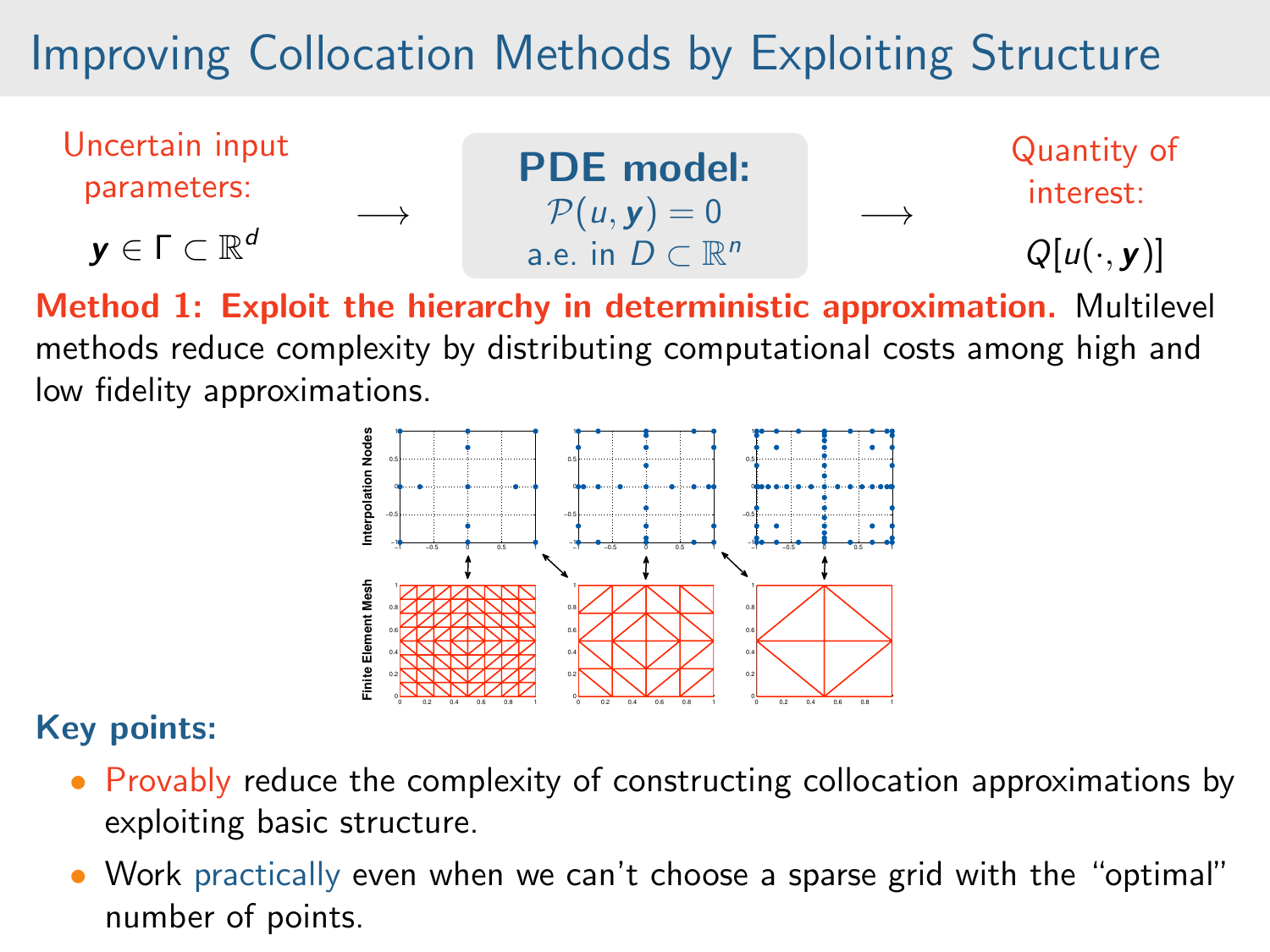

Method 1: Exploit the hierarchy in deterministic approximation. Multilevel methods reduce complexity by distributing computational costs among high and low fidelity approximations.



#### Key points:

- Provably reduce the complexity of constructing collocation approximations by exploiting basic structure.
- Work practically even when we can't choose a sparse grid with the "optimal" number of points.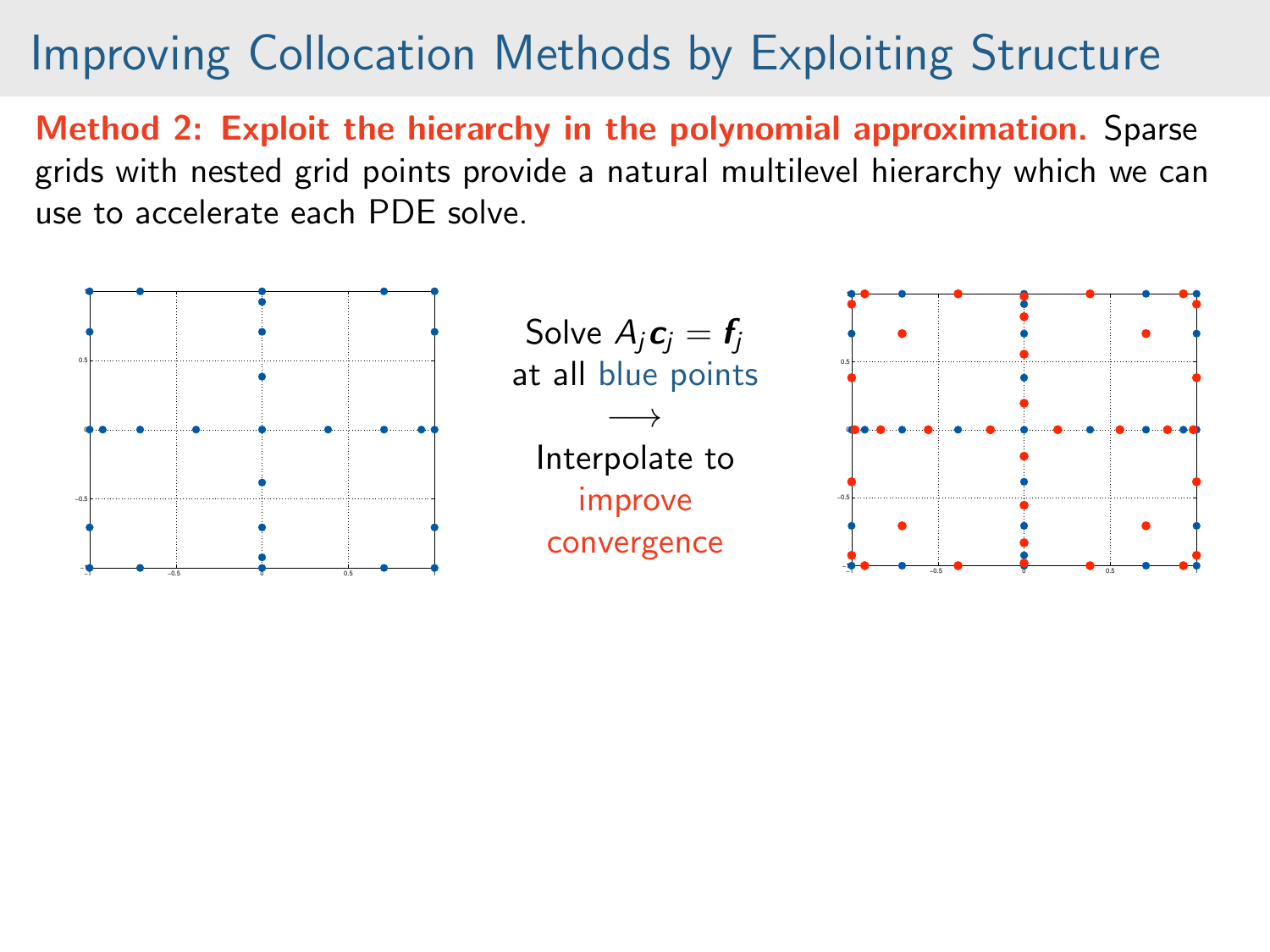Method 2: Exploit the hierarchy in the polynomial approximation. Sparse grids with nested grid points provide a natural multilevel hierarchy which we can use to accelerate each PDE solve.